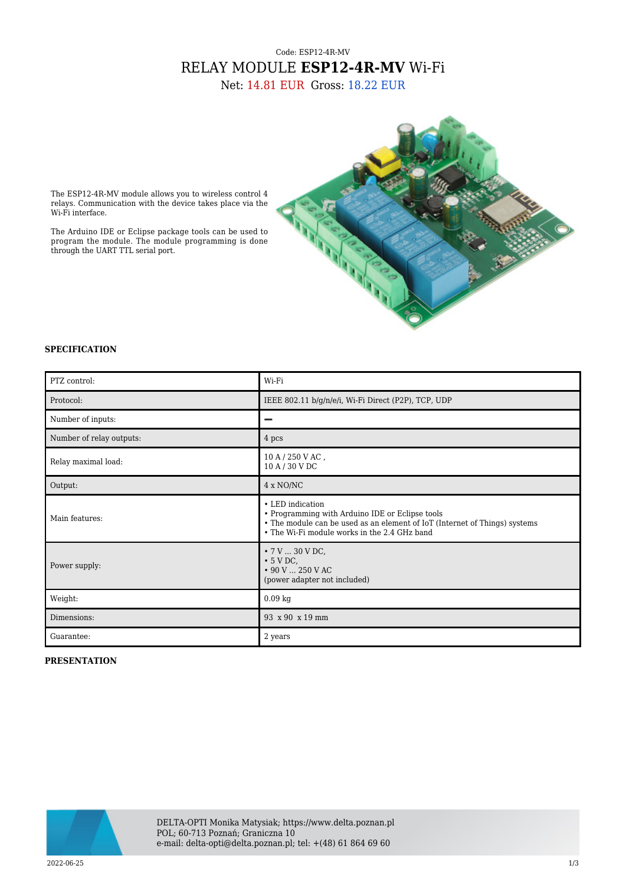## Code: ESP12-4R-MV RELAY MODULE **ESP12-4R-MV** Wi-Fi

Net: 14.81 EUR Gross: 18.22 EUR



The ESP12-4R-MV module allows you to wireless control 4 relays. Communication with the device takes place via the Wi-Fi interface.

The Arduino IDE or Eclipse package tools can be used to program the module. The module programming is done through the UART TTL serial port.

## **SPECIFICATION**

| PTZ control:             | Wi-Fi                                                                                                                                                                                             |
|--------------------------|---------------------------------------------------------------------------------------------------------------------------------------------------------------------------------------------------|
| Protocol:                | IEEE 802.11 b/g/n/e/i, Wi-Fi Direct (P2P), TCP, UDP                                                                                                                                               |
| Number of inputs:        |                                                                                                                                                                                                   |
| Number of relay outputs: | 4 pcs                                                                                                                                                                                             |
| Relay maximal load:      | $10 A / 250 V AC$ ,<br>10 A / 30 V DC                                                                                                                                                             |
| Output:                  | 4 x NO/NC                                                                                                                                                                                         |
| Main features:           | • LED indication<br>• Programming with Arduino IDE or Eclipse tools<br>• The module can be used as an element of IoT (Internet of Things) systems<br>• The Wi-Fi module works in the 2.4 GHz band |
| Power supply:            | $\bullet$ 7 V  30 V DC,<br>$\cdot$ 5 V DC,<br>$\cdot$ 90 V  250 V AC<br>(power adapter not included)                                                                                              |
| Weight:                  | $0.09$ kg                                                                                                                                                                                         |
| Dimensions:              | 93 x 90 x 19 mm                                                                                                                                                                                   |
| Guarantee:               | 2 years                                                                                                                                                                                           |

## **PRESENTATION**

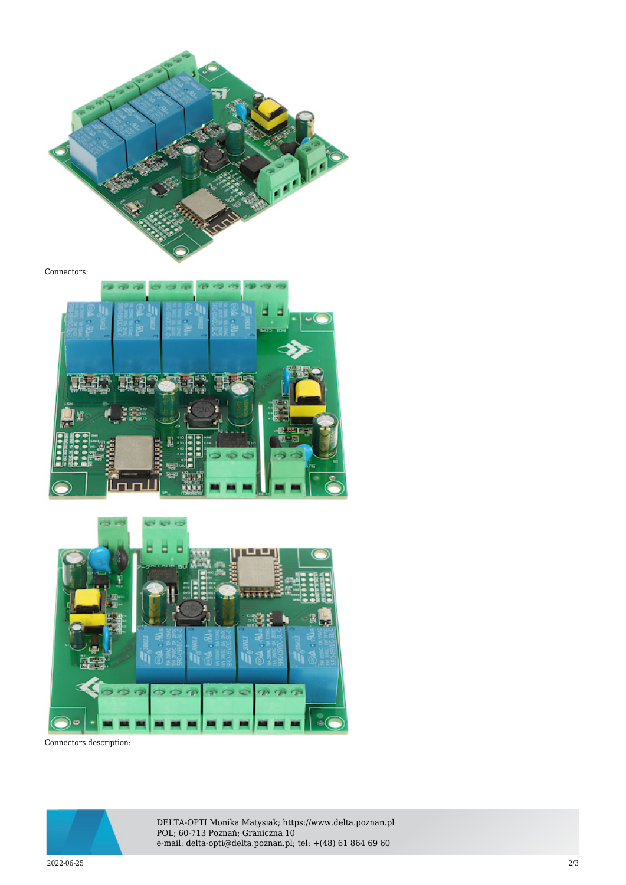

Connectors:





Connectors description:



DELTA-OPTI Monika Matysiak; https://www.delta.poznan.pl POL; 60-713 Poznań; Graniczna 10 e-mail: delta-opti@delta.poznan.pl; tel: +(48) 61 864 69 60

2022-06-25 2/3